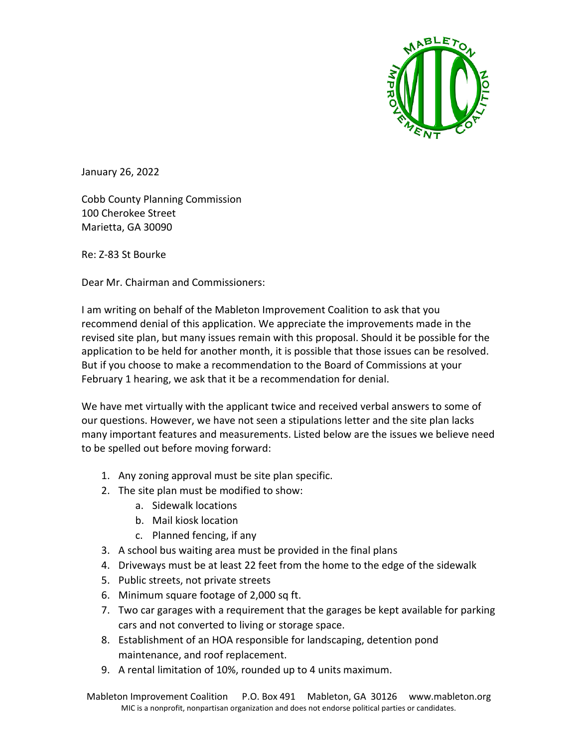

January 26, 2022

Cobb County Planning Commission 100 Cherokee Street Marietta, GA 30090

Re: Z-83 St Bourke

Dear Mr. Chairman and Commissioners:

I am writing on behalf of the Mableton Improvement Coalition to ask that you recommend denial of this application. We appreciate the improvements made in the revised site plan, but many issues remain with this proposal. Should it be possible for the application to be held for another month, it is possible that those issues can be resolved. But if you choose to make a recommendation to the Board of Commissions at your February 1 hearing, we ask that it be a recommendation for denial.

We have met virtually with the applicant twice and received verbal answers to some of our questions. However, we have not seen a stipulations letter and the site plan lacks many important features and measurements. Listed below are the issues we believe need to be spelled out before moving forward:

- 1. Any zoning approval must be site plan specific.
- 2. The site plan must be modified to show:
	- a. Sidewalk locations
	- b. Mail kiosk location
	- c. Planned fencing, if any
- 3. A school bus waiting area must be provided in the final plans
- 4. Driveways must be at least 22 feet from the home to the edge of the sidewalk
- 5. Public streets, not private streets
- 6. Minimum square footage of 2,000 sq ft.
- 7. Two car garages with a requirement that the garages be kept available for parking cars and not converted to living or storage space.
- 8. Establishment of an HOA responsible for landscaping, detention pond maintenance, and roof replacement.
- 9. A rental limitation of 10%, rounded up to 4 units maximum.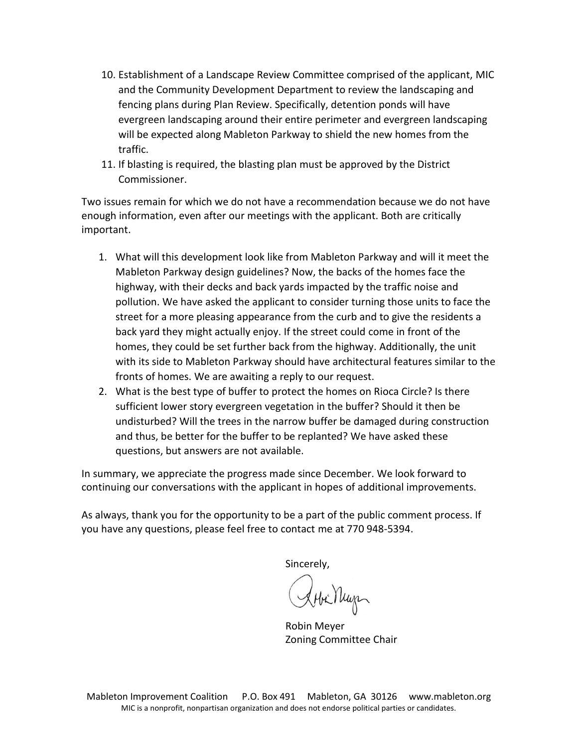- 10. Establishment of a Landscape Review Committee comprised of the applicant, MIC and the Community Development Department to review the landscaping and fencing plans during Plan Review. Specifically, detention ponds will have evergreen landscaping around their entire perimeter and evergreen landscaping will be expected along Mableton Parkway to shield the new homes from the traffic.
- 11. If blasting is required, the blasting plan must be approved by the District Commissioner.

Two issues remain for which we do not have a recommendation because we do not have enough information, even after our meetings with the applicant. Both are critically important.

- 1. What will this development look like from Mableton Parkway and will it meet the Mableton Parkway design guidelines? Now, the backs of the homes face the highway, with their decks and back yards impacted by the traffic noise and pollution. We have asked the applicant to consider turning those units to face the street for a more pleasing appearance from the curb and to give the residents a back yard they might actually enjoy. If the street could come in front of the homes, they could be set further back from the highway. Additionally, the unit with its side to Mableton Parkway should have architectural features similar to the fronts of homes. We are awaiting a reply to our request.
- 2. What is the best type of buffer to protect the homes on Rioca Circle? Is there sufficient lower story evergreen vegetation in the buffer? Should it then be undisturbed? Will the trees in the narrow buffer be damaged during construction and thus, be better for the buffer to be replanted? We have asked these questions, but answers are not available.

In summary, we appreciate the progress made since December. We look forward to continuing our conversations with the applicant in hopes of additional improvements.

As always, thank you for the opportunity to be a part of the public comment process. If you have any questions, please feel free to contact me at 770 948-5394.

Sincerely,

Sobilition

Robin Meyer Zoning Committee Chair